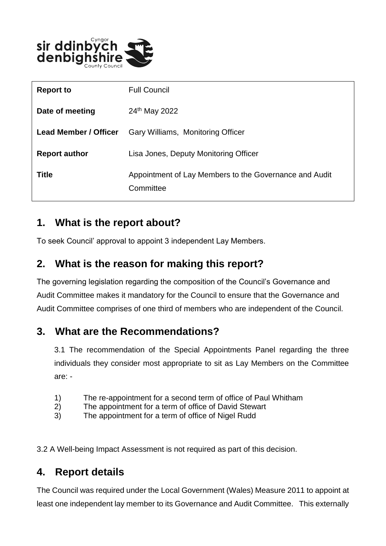

| <b>Report to</b>             | <b>Full Council</b>                                                 |
|------------------------------|---------------------------------------------------------------------|
| Date of meeting              | 24th May 2022                                                       |
| <b>Lead Member / Officer</b> | Gary Williams, Monitoring Officer                                   |
| <b>Report author</b>         | Lisa Jones, Deputy Monitoring Officer                               |
| <b>Title</b>                 | Appointment of Lay Members to the Governance and Audit<br>Committee |

## **1. What is the report about?**

To seek Council' approval to appoint 3 independent Lay Members.

## **2. What is the reason for making this report?**

The governing legislation regarding the composition of the Council's Governance and Audit Committee makes it mandatory for the Council to ensure that the Governance and Audit Committee comprises of one third of members who are independent of the Council.

#### **3. What are the Recommendations?**

3.1 The recommendation of the Special Appointments Panel regarding the three individuals they consider most appropriate to sit as Lay Members on the Committee are: -

- 1) The re-appointment for a second term of office of Paul Whitham
- 2) The appointment for a term of office of David Stewart
- 3) The appointment for a term of office of Nigel Rudd

3.2 A Well-being Impact Assessment is not required as part of this decision.

# **4. Report details**

The Council was required under the Local Government (Wales) Measure 2011 to appoint at least one independent lay member to its Governance and Audit Committee. This externally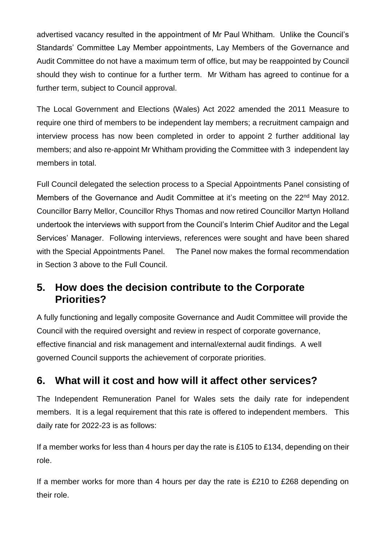advertised vacancy resulted in the appointment of Mr Paul Whitham. Unlike the Council's Standards' Committee Lay Member appointments, Lay Members of the Governance and Audit Committee do not have a maximum term of office, but may be reappointed by Council should they wish to continue for a further term. Mr Witham has agreed to continue for a further term, subject to Council approval.

The Local Government and Elections (Wales) Act 2022 amended the 2011 Measure to require one third of members to be independent lay members; a recruitment campaign and interview process has now been completed in order to appoint 2 further additional lay members; and also re-appoint Mr Whitham providing the Committee with 3 independent lay members in total.

Full Council delegated the selection process to a Special Appointments Panel consisting of Members of the Governance and Audit Committee at it's meeting on the 22<sup>nd</sup> May 2012. Councillor Barry Mellor, Councillor Rhys Thomas and now retired Councillor Martyn Holland undertook the interviews with support from the Council's Interim Chief Auditor and the Legal Services' Manager. Following interviews, references were sought and have been shared with the Special Appointments Panel. The Panel now makes the formal recommendation in Section 3 above to the Full Council.

## **5. How does the decision contribute to the Corporate Priorities?**

A fully functioning and legally composite Governance and Audit Committee will provide the Council with the required oversight and review in respect of corporate governance, effective financial and risk management and internal/external audit findings. A well governed Council supports the achievement of corporate priorities.

# **6. What will it cost and how will it affect other services?**

The Independent Remuneration Panel for Wales sets the daily rate for independent members. It is a legal requirement that this rate is offered to independent members. This daily rate for 2022-23 is as follows:

If a member works for less than 4 hours per day the rate is £105 to £134, depending on their role.

If a member works for more than 4 hours per day the rate is £210 to £268 depending on their role.